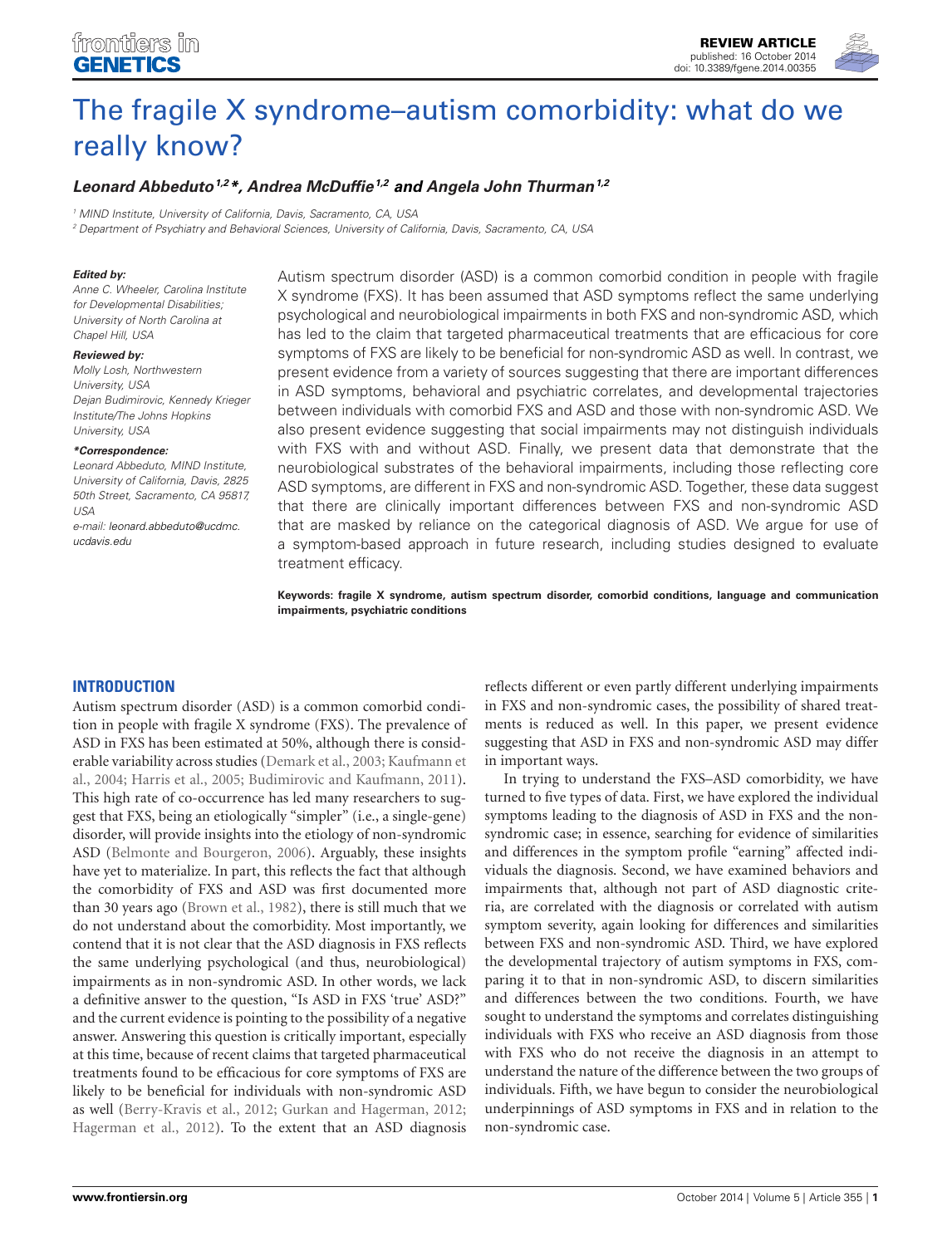**[REVIEW ARTICLE](http://www.frontiersin.org/Genetics/editorialboard)** [published: 16 October 2014](http://www.frontiersin.org/Genetics/editorialboard) [doi: 10.3389/fgene.2014.00355](http://www.frontiersin.org/Genetics/editorialboard)

# [The fragile X syndrome–autism comorbidity: what do we](http://www.frontiersin.org/Journal/10.3389/fgene.2014.00355/abstract) [really know?](http://www.frontiersin.org/Journal/10.3389/fgene.2014.00355/abstract)

## **[Leonard Abbeduto](http://community.frontiersin.org/people/u/158267)1,2\*, [Andrea McDuffie](http://community.frontiersin.org/people/u/187535)1,2 and [Angela John Thurman](http://community.frontiersin.org/people/u/187525)1,2**

<sup>1</sup> MIND Institute, University of California, Davis, Sacramento, CA, USA

<sup>2</sup> Department of Psychiatry and Behavioral Sciences, University of California, Davis, Sacramento, CA, USA

#### **Edited by:**

Anne C. Wheeler, Carolina Institute for Developmental Disabilities; University of North Carolina at Chapel Hill, USA

#### **Reviewed by:**

Molly Losh, Northwestern University, USA Dejan Budimirovic, Kennedy Krieger Institute/The Johns Hopkins University, USA

#### **\*Correspondence:**

Leonard Abbeduto, MIND Institute, University of California, Davis, 2825 50th Street, Sacramento, CA 95817, USA e-mail: [leonard.abbeduto@ucdmc.](mailto:leonard.abbeduto@ucdmc.ucdavis.edu)

[ucdavis.edu](mailto:leonard.abbeduto@ucdmc.ucdavis.edu)

Autism spectrum disorder (ASD) is a common comorbid condition in people with fragile X syndrome (FXS). It has been assumed that ASD symptoms reflect the same underlying psychological and neurobiological impairments in both FXS and non-syndromic ASD, which has led to the claim that targeted pharmaceutical treatments that are efficacious for core symptoms of FXS are likely to be beneficial for non-syndromic ASD as well. In contrast, we present evidence from a variety of sources suggesting that there are important differences in ASD symptoms, behavioral and psychiatric correlates, and developmental trajectories between individuals with comorbid FXS and ASD and those with non-syndromic ASD. We also present evidence suggesting that social impairments may not distinguish individuals with FXS with and without ASD. Finally, we present data that demonstrate that the neurobiological substrates of the behavioral impairments, including those reflecting core ASD symptoms, are different in FXS and non-syndromic ASD. Together, these data suggest that there are clinically important differences between FXS and non-syndromic ASD that are masked by reliance on the categorical diagnosis of ASD. We argue for use of a symptom-based approach in future research, including studies designed to evaluate treatment efficacy.

**Keywords: fragile X syndrome, autism spectrum disorder, comorbid conditions, language and communication impairments, psychiatric conditions**

#### **INTRODUCTION**

Autism spectrum disorder (ASD) is a common comorbid condition in people with fragile X syndrome (FXS). The prevalence of ASD in FXS has been estimated at 50%, although there is considerable variability across studies [\(Demark et al., 2003;](#page-7-0) [Kaufmann et](#page-8-0) [al., 2004;](#page-8-0) [Harris et al., 2005;](#page-8-1) [Budimirovic and Kaufmann, 2011\)](#page-7-1). This high rate of co-occurrence has led many researchers to suggest that FXS, being an etiologically "simpler" (i.e., a single-gene) disorder, will provide insights into the etiology of non-syndromic ASD [\(Belmonte and Bourgeron, 2006\)](#page-7-2). Arguably, these insights have yet to materialize. In part, this reflects the fact that although the comorbidity of FXS and ASD was first documented more than 30 years ago [\(Brown et al., 1982\)](#page-7-3), there is still much that we do not understand about the comorbidity. Most importantly, we contend that it is not clear that the ASD diagnosis in FXS reflects the same underlying psychological (and thus, neurobiological) impairments as in non-syndromic ASD. In other words, we lack a definitive answer to the question, "Is ASD in FXS 'true' ASD?" and the current evidence is pointing to the possibility of a negative answer. Answering this question is critically important, especially at this time, because of recent claims that targeted pharmaceutical treatments found to be efficacious for core symptoms of FXS are likely to be beneficial for individuals with non-syndromic ASD as well [\(Berry-Kravis et al., 2012;](#page-7-4) [Gurkan and Hagerman, 2012;](#page-8-2) [Hagerman et al., 2012\)](#page-8-3). To the extent that an ASD diagnosis

reflects different or even partly different underlying impairments in FXS and non-syndromic cases, the possibility of shared treatments is reduced as well. In this paper, we present evidence suggesting that ASD in FXS and non-syndromic ASD may differ in important ways.

In trying to understand the FXS–ASD comorbidity, we have turned to five types of data. First, we have explored the individual symptoms leading to the diagnosis of ASD in FXS and the nonsyndromic case; in essence, searching for evidence of similarities and differences in the symptom profile "earning" affected individuals the diagnosis. Second, we have examined behaviors and impairments that, although not part of ASD diagnostic criteria, are correlated with the diagnosis or correlated with autism symptom severity, again looking for differences and similarities between FXS and non-syndromic ASD. Third, we have explored the developmental trajectory of autism symptoms in FXS, comparing it to that in non-syndromic ASD, to discern similarities and differences between the two conditions. Fourth, we have sought to understand the symptoms and correlates distinguishing individuals with FXS who receive an ASD diagnosis from those with FXS who do not receive the diagnosis in an attempt to understand the nature of the difference between the two groups of individuals. Fifth, we have begun to consider the neurobiological underpinnings of ASD symptoms in FXS and in relation to the non-syndromic case.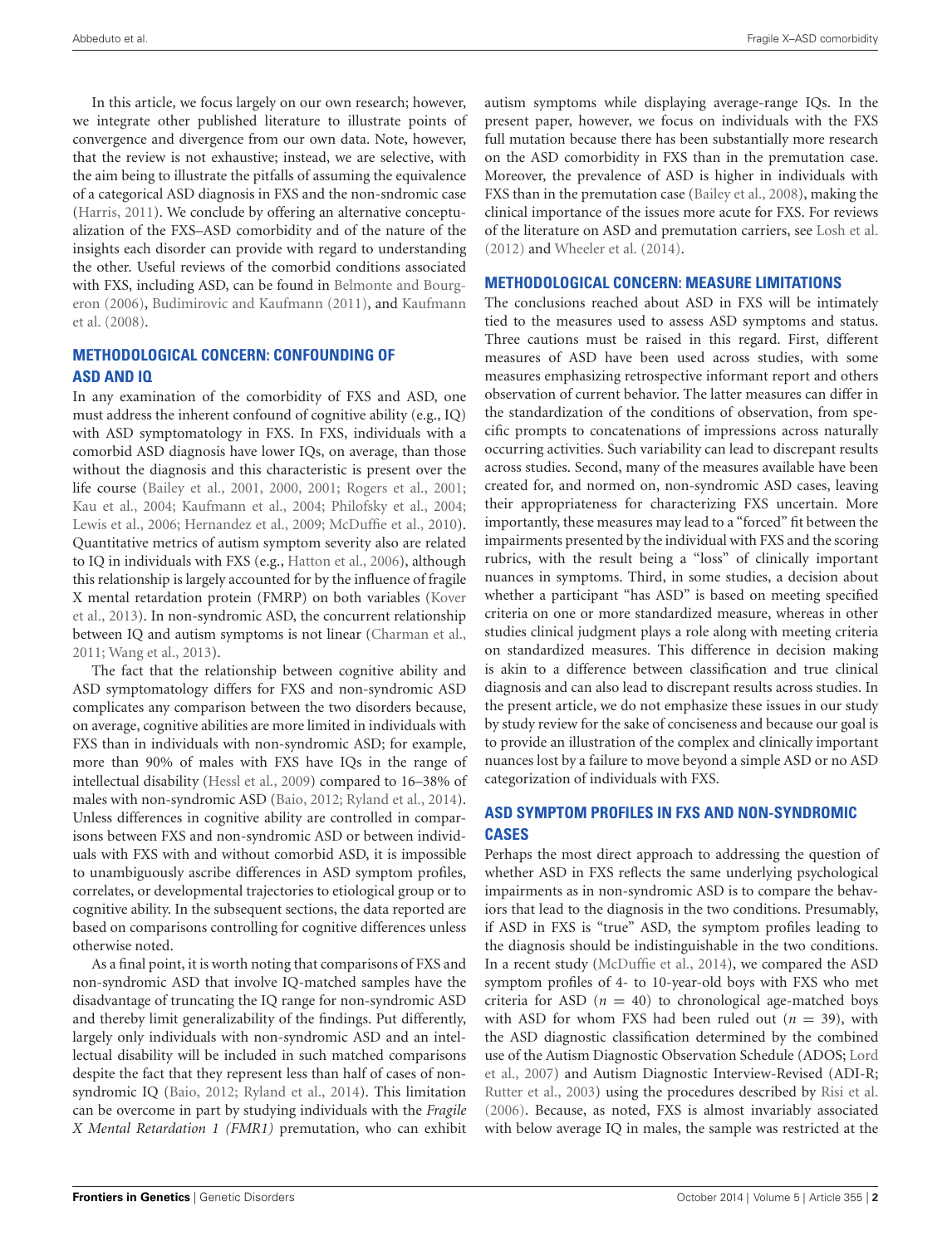In this article, we focus largely on our own research; however, we integrate other published literature to illustrate points of convergence and divergence from our own data. Note, however, that the review is not exhaustive; instead, we are selective, with the aim being to illustrate the pitfalls of assuming the equivalence of a categorical ASD diagnosis in FXS and the non-sndromic case [\(Harris,](#page-8-4) [2011\)](#page-8-4). We conclude by offering an alternative conceptualization of the FXS–ASD comorbidity and of the nature of the insights each disorder can provide with regard to understanding the other. Useful reviews of the comorbid conditions associated with FXS, including ASD, can be found in [Belmonte and Bourg](#page-7-2)[eron](#page-7-2) [\(2006\)](#page-7-2), [Budimirovic and Kaufmann](#page-7-1) [\(2011\)](#page-7-1), and [Kaufmann](#page-8-5) [et al.](#page-8-5) [\(2008\)](#page-8-5).

# **METHODOLOGICAL CONCERN: CONFOUNDING OF ASD AND IQ**

In any examination of the comorbidity of FXS and ASD, one must address the inherent confound of cognitive ability (e.g., IQ) with ASD symptomatology in FXS. In FXS, individuals with a comorbid ASD diagnosis have lower IQs, on average, than those without the diagnosis and this characteristic is present over the life course [\(Bailey et al.,](#page-7-5) [2001,](#page-7-5) [2000,](#page-7-6) [2001;](#page-7-5) [Rogers et al.,](#page-9-0) [2001;](#page-9-0) [Kau et al.,](#page-8-6) [2004;](#page-8-6) [Kaufmann et al.,](#page-8-0) [2004;](#page-8-0) [Philofsky et al.,](#page-8-7) [2004;](#page-8-7) [Lewis et al.,](#page-8-8) [2006;](#page-8-8) [Hernandez et al.,](#page-8-9) [2009;](#page-8-9) [McDuffie et al.,](#page-8-10) [2010\)](#page-8-10). Quantitative metrics of autism symptom severity also are related to IQ in individuals with FXS (e.g., [Hatton et al.,](#page-8-11) [2006\)](#page-8-11), although this relationship is largely accounted for by the influence of fragile X mental retardation protein (FMRP) on both variables [\(Kover](#page-8-12) [et al.,](#page-8-12) [2013\)](#page-8-12). In non-syndromic ASD, the concurrent relationship between IQ and autism symptoms is not linear [\(Charman et al.,](#page-7-7) [2011;](#page-7-7) [Wang et al.,](#page-9-1) [2013\)](#page-9-1).

The fact that the relationship between cognitive ability and ASD symptomatology differs for FXS and non-syndromic ASD complicates any comparison between the two disorders because, on average, cognitive abilities are more limited in individuals with FXS than in individuals with non-syndromic ASD; for example, more than 90% of males with FXS have IQs in the range of intellectual disability [\(Hessl et al.,](#page-8-13) [2009\)](#page-8-13) compared to 16–38% of males with non-syndromic ASD [\(Baio,](#page-7-8) [2012;](#page-7-8) [Ryland et al.,](#page-9-2) [2014\)](#page-9-2). Unless differences in cognitive ability are controlled in comparisons between FXS and non-syndromic ASD or between individuals with FXS with and without comorbid ASD, it is impossible to unambiguously ascribe differences in ASD symptom profiles, correlates, or developmental trajectories to etiological group or to cognitive ability. In the subsequent sections, the data reported are based on comparisons controlling for cognitive differences unless otherwise noted.

As a final point, it is worth noting that comparisons of FXS and non-syndromic ASD that involve IQ-matched samples have the disadvantage of truncating the IQ range for non-syndromic ASD and thereby limit generalizability of the findings. Put differently, largely only individuals with non-syndromic ASD and an intellectual disability will be included in such matched comparisons despite the fact that they represent less than half of cases of nonsyndromic IQ [\(Baio,](#page-7-8) [2012;](#page-7-8) [Ryland et al.,](#page-9-2) [2014\)](#page-9-2). This limitation can be overcome in part by studying individuals with the *Fragile X Mental Retardation 1 (FMR1)* premutation, who can exhibit

autism symptoms while displaying average-range IQs. In the present paper, however, we focus on individuals with the FXS full mutation because there has been substantially more research on the ASD comorbidity in FXS than in the premutation case. Moreover, the prevalence of ASD is higher in individuals with FXS than in the premutation case [\(Bailey et al.,](#page-7-9) [2008\)](#page-7-9), making the clinical importance of the issues more acute for FXS. For reviews of the literature on ASD and premutation carriers, see [Losh et al.](#page-8-14) [\(2012\)](#page-8-14) and [Wheeler et al.](#page-9-3) [\(2014\)](#page-9-3).

#### **METHODOLOGICAL CONCERN: MEASURE LIMITATIONS**

The conclusions reached about ASD in FXS will be intimately tied to the measures used to assess ASD symptoms and status. Three cautions must be raised in this regard. First, different measures of ASD have been used across studies, with some measures emphasizing retrospective informant report and others observation of current behavior. The latter measures can differ in the standardization of the conditions of observation, from specific prompts to concatenations of impressions across naturally occurring activities. Such variability can lead to discrepant results across studies. Second, many of the measures available have been created for, and normed on, non-syndromic ASD cases, leaving their appropriateness for characterizing FXS uncertain. More importantly, these measures may lead to a "forced" fit between the impairments presented by the individual with FXS and the scoring rubrics, with the result being a "loss" of clinically important nuances in symptoms. Third, in some studies, a decision about whether a participant "has ASD" is based on meeting specified criteria on one or more standardized measure, whereas in other studies clinical judgment plays a role along with meeting criteria on standardized measures. This difference in decision making is akin to a difference between classification and true clinical diagnosis and can also lead to discrepant results across studies. In the present article, we do not emphasize these issues in our study by study review for the sake of conciseness and because our goal is to provide an illustration of the complex and clinically important nuances lost by a failure to move beyond a simple ASD or no ASD categorization of individuals with FXS.

# **ASD SYMPTOM PROFILES IN FXS AND NON-SYNDROMIC CASES**

Perhaps the most direct approach to addressing the question of whether ASD in FXS reflects the same underlying psychological impairments as in non-syndromic ASD is to compare the behaviors that lead to the diagnosis in the two conditions. Presumably, if ASD in FXS is "true" ASD, the symptom profiles leading to the diagnosis should be indistinguishable in the two conditions. In a recent study [\(McDuffie et al.,](#page-8-15) [2014\)](#page-8-15), we compared the ASD symptom profiles of 4- to 10-year-old boys with FXS who met criteria for ASD  $(n = 40)$  to chronological age-matched boys with ASD for whom FXS had been ruled out ( $n = 39$ ), with the ASD diagnostic classification determined by the combined use of the Autism Diagnostic Observation Schedule (ADOS; [Lord](#page-8-16) [et al.,](#page-8-16) [2007\)](#page-8-16) and Autism Diagnostic Interview-Revised (ADI-R; [Rutter et al.,](#page-9-4) [2003\)](#page-9-4) using the procedures described by [Risi et al.](#page-8-17) [\(2006\)](#page-8-17). Because, as noted, FXS is almost invariably associated with below average IQ in males, the sample was restricted at the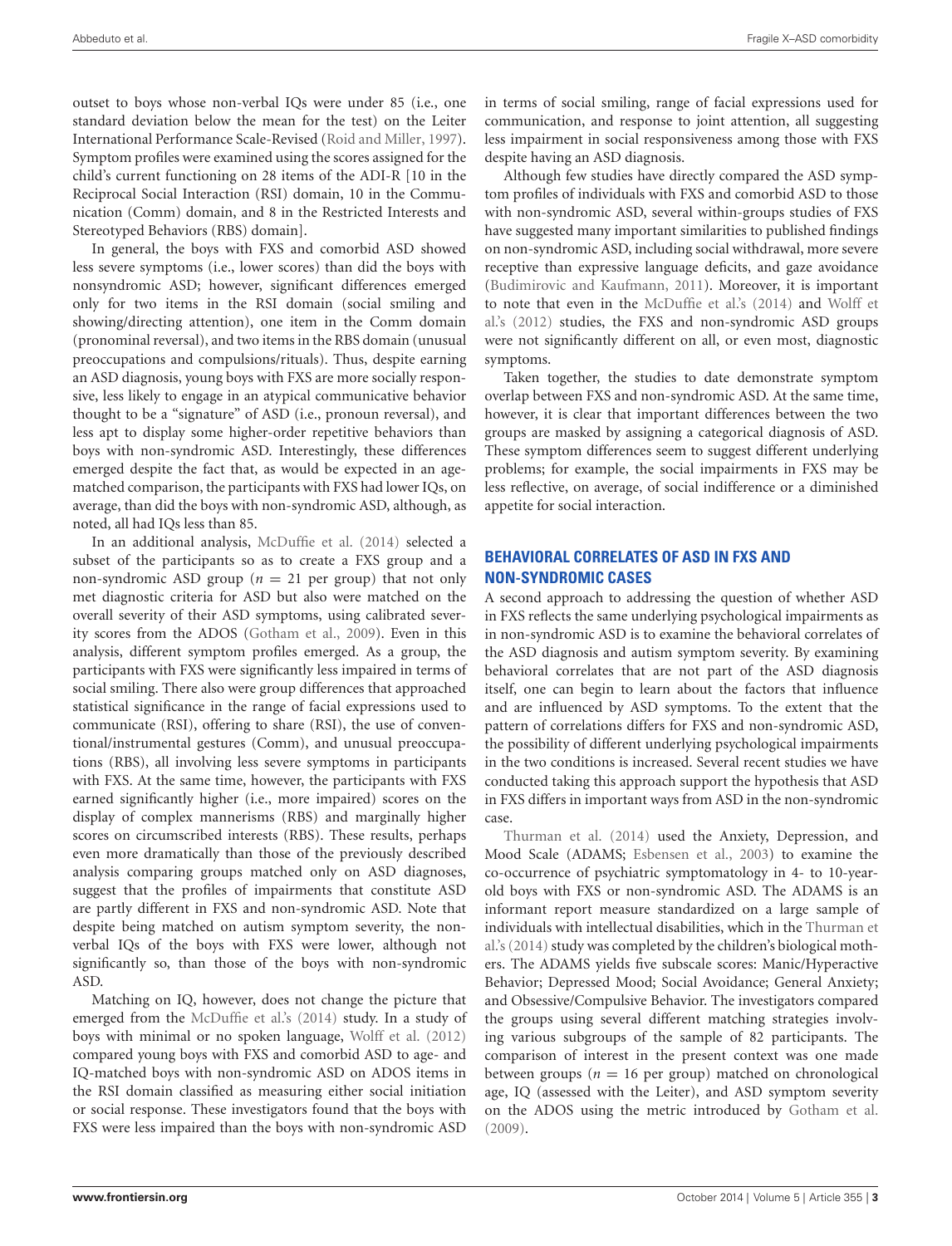outset to boys whose non-verbal IQs were under 85 (i.e., one standard deviation below the mean for the test) on the Leiter International Performance Scale-Revised [\(Roid and Miller,](#page-9-5) [1997\)](#page-9-5). Symptom profiles were examined using the scores assigned for the child's current functioning on 28 items of the ADI-R [10 in the Reciprocal Social Interaction (RSI) domain, 10 in the Communication (Comm) domain, and 8 in the Restricted Interests and Stereotyped Behaviors (RBS) domain].

In general, the boys with FXS and comorbid ASD showed less severe symptoms (i.e., lower scores) than did the boys with nonsyndromic ASD; however, significant differences emerged only for two items in the RSI domain (social smiling and showing/directing attention), one item in the Comm domain (pronominal reversal), and two items in the RBS domain (unusual preoccupations and compulsions/rituals). Thus, despite earning an ASD diagnosis, young boys with FXS are more socially responsive, less likely to engage in an atypical communicative behavior thought to be a "signature" of ASD (i.e., pronoun reversal), and less apt to display some higher-order repetitive behaviors than boys with non-syndromic ASD. Interestingly, these differences emerged despite the fact that, as would be expected in an agematched comparison, the participants with FXS had lower IQs, on average, than did the boys with non-syndromic ASD, although, as noted, all had IQs less than 85.

In an additional analysis, [McDuffie et al.](#page-8-15) [\(2014\)](#page-8-15) selected a subset of the participants so as to create a FXS group and a non-syndromic ASD group ( $n = 21$  per group) that not only met diagnostic criteria for ASD but also were matched on the overall severity of their ASD symptoms, using calibrated severity scores from the ADOS [\(Gotham et al.,](#page-8-18) [2009\)](#page-8-18). Even in this analysis, different symptom profiles emerged. As a group, the participants with FXS were significantly less impaired in terms of social smiling. There also were group differences that approached statistical significance in the range of facial expressions used to communicate (RSI), offering to share (RSI), the use of conventional/instrumental gestures (Comm), and unusual preoccupations (RBS), all involving less severe symptoms in participants with FXS. At the same time, however, the participants with FXS earned significantly higher (i.e., more impaired) scores on the display of complex mannerisms (RBS) and marginally higher scores on circumscribed interests (RBS). These results, perhaps even more dramatically than those of the previously described analysis comparing groups matched only on ASD diagnoses, suggest that the profiles of impairments that constitute ASD are partly different in FXS and non-syndromic ASD. Note that despite being matched on autism symptom severity, the nonverbal IQs of the boys with FXS were lower, although not significantly so, than those of the boys with non-syndromic ASD.

Matching on IQ, however, does not change the picture that emerged from the [McDuffie et al.'s](#page-8-15) [\(2014\)](#page-8-15) study. In a study of boys with minimal or no spoken language, [Wolff et al.](#page-9-6) [\(2012\)](#page-9-6) compared young boys with FXS and comorbid ASD to age- and IQ-matched boys with non-syndromic ASD on ADOS items in the RSI domain classified as measuring either social initiation or social response. These investigators found that the boys with FXS were less impaired than the boys with non-syndromic ASD

in terms of social smiling, range of facial expressions used for communication, and response to joint attention, all suggesting less impairment in social responsiveness among those with FXS despite having an ASD diagnosis.

Although few studies have directly compared the ASD symptom profiles of individuals with FXS and comorbid ASD to those with non-syndromic ASD, several within-groups studies of FXS have suggested many important similarities to published findings on non-syndromic ASD, including social withdrawal, more severe receptive than expressive language deficits, and gaze avoidance [\(Budimirovic and Kaufmann,](#page-7-1) [2011\)](#page-7-1). Moreover, it is important to note that even in the [McDuffie et al.'s](#page-8-15) [\(2014\)](#page-8-15) and [Wolff et](#page-9-6) [al.'s](#page-9-6) [\(2012\)](#page-9-6) studies, the FXS and non-syndromic ASD groups were not significantly different on all, or even most, diagnostic symptoms.

Taken together, the studies to date demonstrate symptom overlap between FXS and non-syndromic ASD. At the same time, however, it is clear that important differences between the two groups are masked by assigning a categorical diagnosis of ASD. These symptom differences seem to suggest different underlying problems; for example, the social impairments in FXS may be less reflective, on average, of social indifference or a diminished appetite for social interaction.

### **BEHAVIORAL CORRELATES OF ASD IN FXS AND NON-SYNDROMIC CASES**

A second approach to addressing the question of whether ASD in FXS reflects the same underlying psychological impairments as in non-syndromic ASD is to examine the behavioral correlates of the ASD diagnosis and autism symptom severity. By examining behavioral correlates that are not part of the ASD diagnosis itself, one can begin to learn about the factors that influence and are influenced by ASD symptoms. To the extent that the pattern of correlations differs for FXS and non-syndromic ASD, the possibility of different underlying psychological impairments in the two conditions is increased. Several recent studies we have conducted taking this approach support the hypothesis that ASD in FXS differs in important ways from ASD in the non-syndromic case.

[Thurman et al.](#page-9-7) [\(2014\)](#page-9-7) used the Anxiety, Depression, and Mood Scale (ADAMS; [Esbensen et al.,](#page-7-10) [2003\)](#page-7-10) to examine the co-occurrence of psychiatric symptomatology in 4- to 10-yearold boys with FXS or non-syndromic ASD. The ADAMS is an informant report measure standardized on a large sample of individuals with intellectual disabilities, which in the [Thurman et](#page-9-7) [al.'s](#page-9-7) [\(2014\)](#page-9-7) study was completed by the children's biological mothers. The ADAMS yields five subscale scores: Manic/Hyperactive Behavior; Depressed Mood; Social Avoidance; General Anxiety; and Obsessive/Compulsive Behavior. The investigators compared the groups using several different matching strategies involving various subgroups of the sample of 82 participants. The comparison of interest in the present context was one made between groups ( $n = 16$  per group) matched on chronological age, IQ (assessed with the Leiter), and ASD symptom severity on the ADOS using the metric introduced by [Gotham et al.](#page-8-18) [\(2009\)](#page-8-18).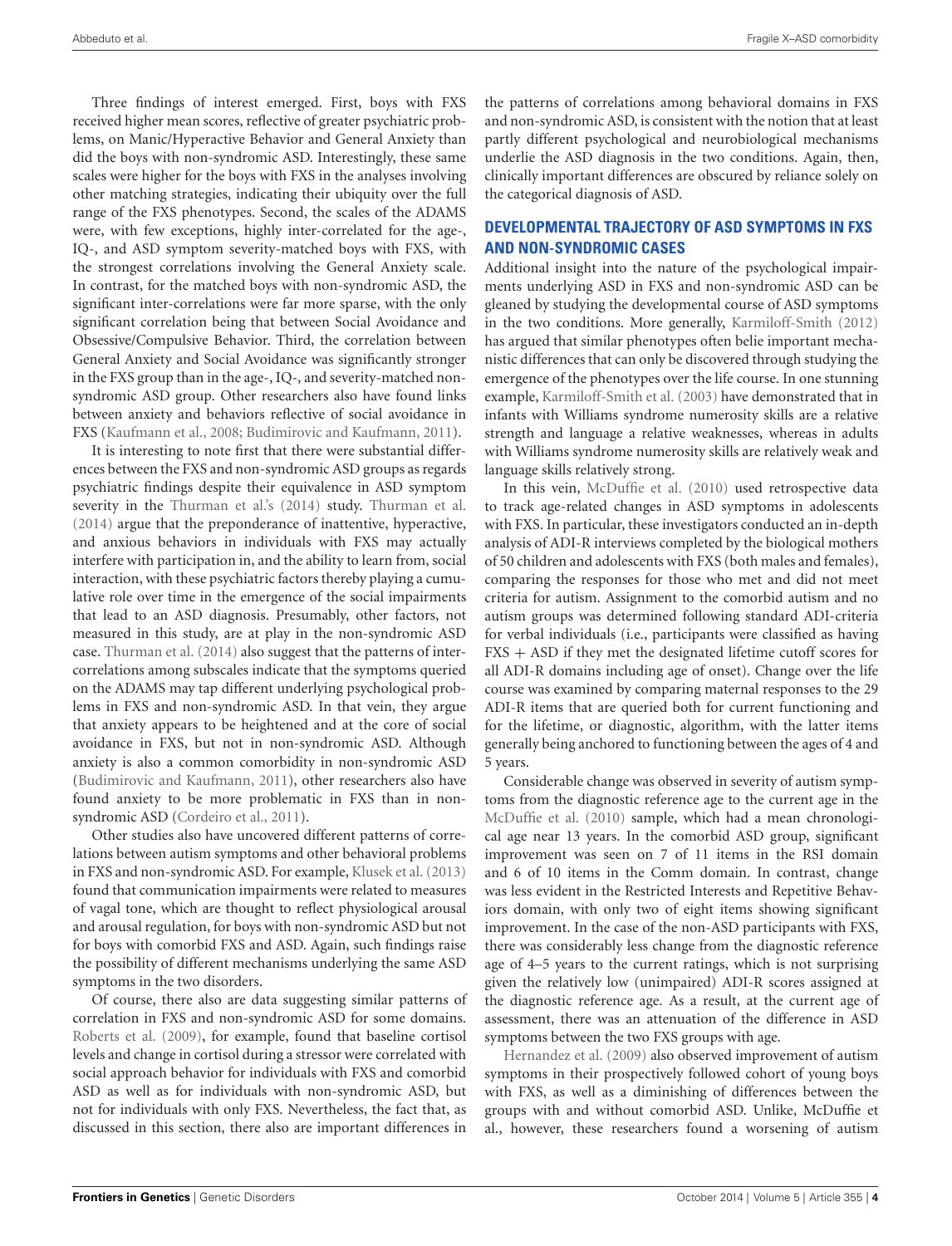Three findings of interest emerged. First, boys with FXS received higher mean scores, reflective of greater psychiatric problems, on Manic/Hyperactive Behavior and General Anxiety than did the boys with non-syndromic ASD. Interestingly, these same scales were higher for the boys with FXS in the analyses involving other matching strategies, indicating their ubiquity over the full range of the FXS phenotypes. Second, the scales of the ADAMS were, with few exceptions, highly inter-correlated for the age-, IQ-, and ASD symptom severity-matched boys with FXS, with the strongest correlations involving the General Anxiety scale. In contrast, for the matched boys with non-syndromic ASD, the significant inter-correlations were far more sparse, with the only significant correlation being that between Social Avoidance and Obsessive/Compulsive Behavior. Third, the correlation between General Anxiety and Social Avoidance was significantly stronger in the FXS group than in the age-, IQ-, and severity-matched nonsyndromic ASD group. Other researchers also have found links between anxiety and behaviors reflective of social avoidance in FXS [\(Kaufmann et al.,](#page-8-5) [2008;](#page-8-5) [Budimirovic and Kaufmann,](#page-7-1) [2011\)](#page-7-1).

It is interesting to note first that there were substantial differences between the FXS and non-syndromic ASD groups as regards psychiatric findings despite their equivalence in ASD symptom severity in the [Thurman et al.'s](#page-9-7) [\(2014\)](#page-9-7) study. [Thurman et al.](#page-9-7) [\(2014\)](#page-9-7) argue that the preponderance of inattentive, hyperactive, and anxious behaviors in individuals with FXS may actually interfere with participation in, and the ability to learn from, social interaction, with these psychiatric factors thereby playing a cumulative role over time in the emergence of the social impairments that lead to an ASD diagnosis. Presumably, other factors, not measured in this study, are at play in the non-syndromic ASD case. [Thurman et al.](#page-9-7) [\(2014\)](#page-9-7) also suggest that the patterns of intercorrelations among subscales indicate that the symptoms queried on the ADAMS may tap different underlying psychological problems in FXS and non-syndromic ASD. In that vein, they argue that anxiety appears to be heightened and at the core of social avoidance in FXS, but not in non-syndromic ASD. Although anxiety is also a common comorbidity in non-syndromic ASD [\(Budimirovic and Kaufmann,](#page-7-1) [2011\)](#page-7-1), other researchers also have found anxiety to be more problematic in FXS than in nonsyndromic ASD [\(Cordeiro et al.,](#page-7-11) [2011\)](#page-7-11).

Other studies also have uncovered different patterns of correlations between autism symptoms and other behavioral problems in FXS and non-syndromic ASD. For example, [Klusek et al.\(2013\)](#page-8-19) found that communication impairments were related to measures of vagal tone, which are thought to reflect physiological arousal and arousal regulation, for boys with non-syndromic ASD but not for boys with comorbid FXS and ASD. Again, such findings raise the possibility of different mechanisms underlying the same ASD symptoms in the two disorders.

Of course, there also are data suggesting similar patterns of correlation in FXS and non-syndromic ASD for some domains. [Roberts et al.](#page-9-8) [\(2009\)](#page-9-8), for example, found that baseline cortisol levels and change in cortisol during a stressor were correlated with social approach behavior for individuals with FXS and comorbid ASD as well as for individuals with non-syndromic ASD, but not for individuals with only FXS. Nevertheless, the fact that, as discussed in this section, there also are important differences in

the patterns of correlations among behavioral domains in FXS and non-syndromic ASD, is consistent with the notion that at least partly different psychological and neurobiological mechanisms underlie the ASD diagnosis in the two conditions. Again, then, clinically important differences are obscured by reliance solely on the categorical diagnosis of ASD.

# **DEVELOPMENTAL TRAJECTORY OF ASD SYMPTOMS IN FXS AND NON-SYNDROMIC CASES**

Additional insight into the nature of the psychological impairments underlying ASD in FXS and non-syndromic ASD can be gleaned by studying the developmental course of ASD symptoms in the two conditions. More generally, [Karmiloff-Smith](#page-8-20) [\(2012\)](#page-8-20) has argued that similar phenotypes often belie important mechanistic differences that can only be discovered through studying the emergence of the phenotypes over the life course. In one stunning example, [Karmiloff-Smith et al.](#page-8-21) [\(2003\)](#page-8-21) have demonstrated that in infants with Williams syndrome numerosity skills are a relative strength and language a relative weaknesses, whereas in adults with Williams syndrome numerosity skills are relatively weak and language skills relatively strong.

In this vein, [McDuffie et al.](#page-8-10) [\(2010\)](#page-8-10) used retrospective data to track age-related changes in ASD symptoms in adolescents with FXS. In particular, these investigators conducted an in-depth analysis of ADI-R interviews completed by the biological mothers of 50 children and adolescents with FXS (both males and females), comparing the responses for those who met and did not meet criteria for autism. Assignment to the comorbid autism and no autism groups was determined following standard ADI-criteria for verbal individuals (i.e., participants were classified as having FXS + ASD if they met the designated lifetime cutoff scores for all ADI-R domains including age of onset). Change over the life course was examined by comparing maternal responses to the 29 ADI-R items that are queried both for current functioning and for the lifetime, or diagnostic, algorithm, with the latter items generally being anchored to functioning between the ages of 4 and 5 years.

Considerable change was observed in severity of autism symptoms from the diagnostic reference age to the current age in the [McDuffie et al.](#page-8-10) [\(2010\)](#page-8-10) sample, which had a mean chronological age near 13 years. In the comorbid ASD group, significant improvement was seen on 7 of 11 items in the RSI domain and 6 of 10 items in the Comm domain. In contrast, change was less evident in the Restricted Interests and Repetitive Behaviors domain, with only two of eight items showing significant improvement. In the case of the non-ASD participants with FXS, there was considerably less change from the diagnostic reference age of 4–5 years to the current ratings, which is not surprising given the relatively low (unimpaired) ADI-R scores assigned at the diagnostic reference age. As a result, at the current age of assessment, there was an attenuation of the difference in ASD symptoms between the two FXS groups with age.

[Hernandez et al.](#page-8-9) [\(2009\)](#page-8-9) also observed improvement of autism symptoms in their prospectively followed cohort of young boys with FXS, as well as a diminishing of differences between the groups with and without comorbid ASD. Unlike, McDuffie et al., however, these researchers found a worsening of autism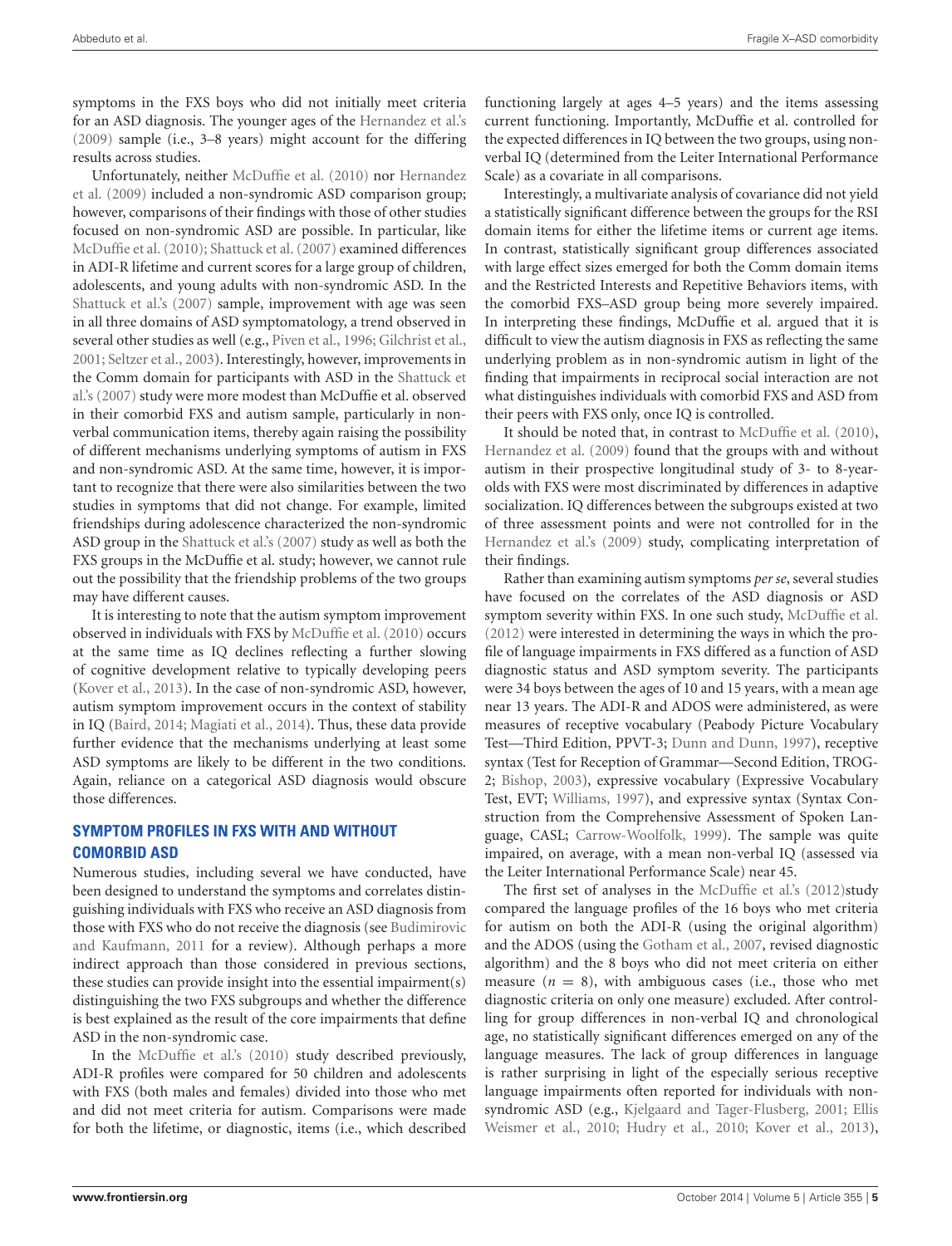symptoms in the FXS boys who did not initially meet criteria for an ASD diagnosis. The younger ages of the [Hernandez et al.'s](#page-8-9) [\(2009\)](#page-8-9) sample (i.e., 3–8 years) might account for the differing results across studies.

Unfortunately, neither [McDuffie et al.](#page-8-10) [\(2010\)](#page-8-10) nor [Hernandez](#page-8-9) [et al.](#page-8-9) [\(2009\)](#page-8-9) included a non-syndromic ASD comparison group; however, comparisons of their findings with those of other studies focused on non-syndromic ASD are possible. In particular, like [McDuffie et al.\(2010\)](#page-8-10); [Shattuck et al.\(2007\)](#page-9-9) examined differences in ADI-R lifetime and current scores for a large group of children, adolescents, and young adults with non-syndromic ASD. In the [Shattuck et al.'s](#page-9-9) [\(2007\)](#page-9-9) sample, improvement with age was seen in all three domains of ASD symptomatology, a trend observed in several other studies as well (e.g., [Piven et al.,](#page-8-22) [1996;](#page-8-22) [Gilchrist et al.,](#page-8-23) [2001;](#page-8-23) [Seltzer et al.,](#page-9-10) [2003\)](#page-9-10). Interestingly, however, improvements in the Comm domain for participants with ASD in the [Shattuck et](#page-9-9) [al.'s](#page-9-9) [\(2007\)](#page-9-9) study were more modest than McDuffie et al. observed in their comorbid FXS and autism sample, particularly in nonverbal communication items, thereby again raising the possibility of different mechanisms underlying symptoms of autism in FXS and non-syndromic ASD. At the same time, however, it is important to recognize that there were also similarities between the two studies in symptoms that did not change. For example, limited friendships during adolescence characterized the non-syndromic ASD group in the [Shattuck et al.'s](#page-9-9) [\(2007\)](#page-9-9) study as well as both the FXS groups in the McDuffie et al. study; however, we cannot rule out the possibility that the friendship problems of the two groups may have different causes.

It is interesting to note that the autism symptom improvement observed in individuals with FXS by [McDuffie et al.](#page-8-10) [\(2010\)](#page-8-10) occurs at the same time as IQ declines reflecting a further slowing of cognitive development relative to typically developing peers [\(Kover et al.,](#page-8-12) [2013\)](#page-8-12). In the case of non-syndromic ASD, however, autism symptom improvement occurs in the context of stability in IQ [\(Baird,](#page-7-12) [2014;](#page-7-12) [Magiati et al.,](#page-8-24) [2014\)](#page-8-24). Thus, these data provide further evidence that the mechanisms underlying at least some ASD symptoms are likely to be different in the two conditions. Again, reliance on a categorical ASD diagnosis would obscure those differences.

## **SYMPTOM PROFILES IN FXS WITH AND WITHOUT COMORBID ASD**

Numerous studies, including several we have conducted, have been designed to understand the symptoms and correlates distinguishing individuals with FXS who receive an ASD diagnosis from those with FXS who do not receive the diagnosis (see [Budimirovic](#page-7-1) [and Kaufmann,](#page-7-1) [2011](#page-7-1) for a review). Although perhaps a more indirect approach than those considered in previous sections, these studies can provide insight into the essential impairment(s) distinguishing the two FXS subgroups and whether the difference is best explained as the result of the core impairments that define ASD in the non-syndromic case.

In the [McDuffie et al.'s](#page-8-10) [\(2010\)](#page-8-10) study described previously, ADI-R profiles were compared for 50 children and adolescents with FXS (both males and females) divided into those who met and did not meet criteria for autism. Comparisons were made for both the lifetime, or diagnostic, items (i.e., which described

functioning largely at ages 4–5 years) and the items assessing current functioning. Importantly, McDuffie et al. controlled for the expected differences in IQ between the two groups, using nonverbal IQ (determined from the Leiter International Performance Scale) as a covariate in all comparisons.

Interestingly, a multivariate analysis of covariance did not yield a statistically significant difference between the groups for the RSI domain items for either the lifetime items or current age items. In contrast, statistically significant group differences associated with large effect sizes emerged for both the Comm domain items and the Restricted Interests and Repetitive Behaviors items, with the comorbid FXS–ASD group being more severely impaired. In interpreting these findings, McDuffie et al. argued that it is difficult to view the autism diagnosis in FXS as reflecting the same underlying problem as in non-syndromic autism in light of the finding that impairments in reciprocal social interaction are not what distinguishes individuals with comorbid FXS and ASD from their peers with FXS only, once IQ is controlled.

It should be noted that, in contrast to [McDuffie et al.](#page-8-10) [\(2010\)](#page-8-10), [Hernandez et al.](#page-8-9) [\(2009\)](#page-8-9) found that the groups with and without autism in their prospective longitudinal study of 3- to 8-yearolds with FXS were most discriminated by differences in adaptive socialization. IQ differences between the subgroups existed at two of three assessment points and were not controlled for in the [Hernandez et al.'s](#page-8-9) [\(2009\)](#page-8-9) study, complicating interpretation of their findings.

Rather than examining autism symptoms *per se*, several studies have focused on the correlates of the ASD diagnosis or ASD symptom severity within FXS. In one such study, [McDuffie et al.](#page-8-25) [\(2012\)](#page-8-25) were interested in determining the ways in which the profile of language impairments in FXS differed as a function of ASD diagnostic status and ASD symptom severity. The participants were 34 boys between the ages of 10 and 15 years, with a mean age near 13 years. The ADI-R and ADOS were administered, as were measures of receptive vocabulary (Peabody Picture Vocabulary Test—Third Edition, PPVT-3; [Dunn and Dunn,](#page-7-13) [1997\)](#page-7-13), receptive syntax (Test for Reception of Grammar—Second Edition, TROG-2; [Bishop,](#page-7-14) [2003\)](#page-7-14), expressive vocabulary (Expressive Vocabulary Test, EVT; [Williams,](#page-9-11) [1997\)](#page-9-11), and expressive syntax (Syntax Construction from the Comprehensive Assessment of Spoken Language, CASL; [Carrow-Woolfolk,](#page-7-15) [1999\)](#page-7-15). The sample was quite impaired, on average, with a mean non-verbal IQ (assessed via the Leiter International Performance Scale) near 45.

The first set of analyses in the [McDuffie et al.'s](#page-8-25) [\(2012\)](#page-8-25)study compared the language profiles of the 16 boys who met criteria for autism on both the ADI-R (using the original algorithm) and the ADOS (using the [Gotham et al.,](#page-8-26) [2007,](#page-8-26) revised diagnostic algorithm) and the 8 boys who did not meet criteria on either measure  $(n = 8)$ , with ambiguous cases (i.e., those who met diagnostic criteria on only one measure) excluded. After controlling for group differences in non-verbal IQ and chronological age, no statistically significant differences emerged on any of the language measures. The lack of group differences in language is rather surprising in light of the especially serious receptive language impairments often reported for individuals with nonsyndromic ASD (e.g., [Kjelgaard and Tager-Flusberg,](#page-8-27) [2001;](#page-8-27) [Ellis](#page-7-16) [Weismer et al.,](#page-7-16) [2010;](#page-7-16) [Hudry et al.,](#page-8-28) [2010;](#page-8-28) [Kover et al.,](#page-8-12) [2013\)](#page-8-12),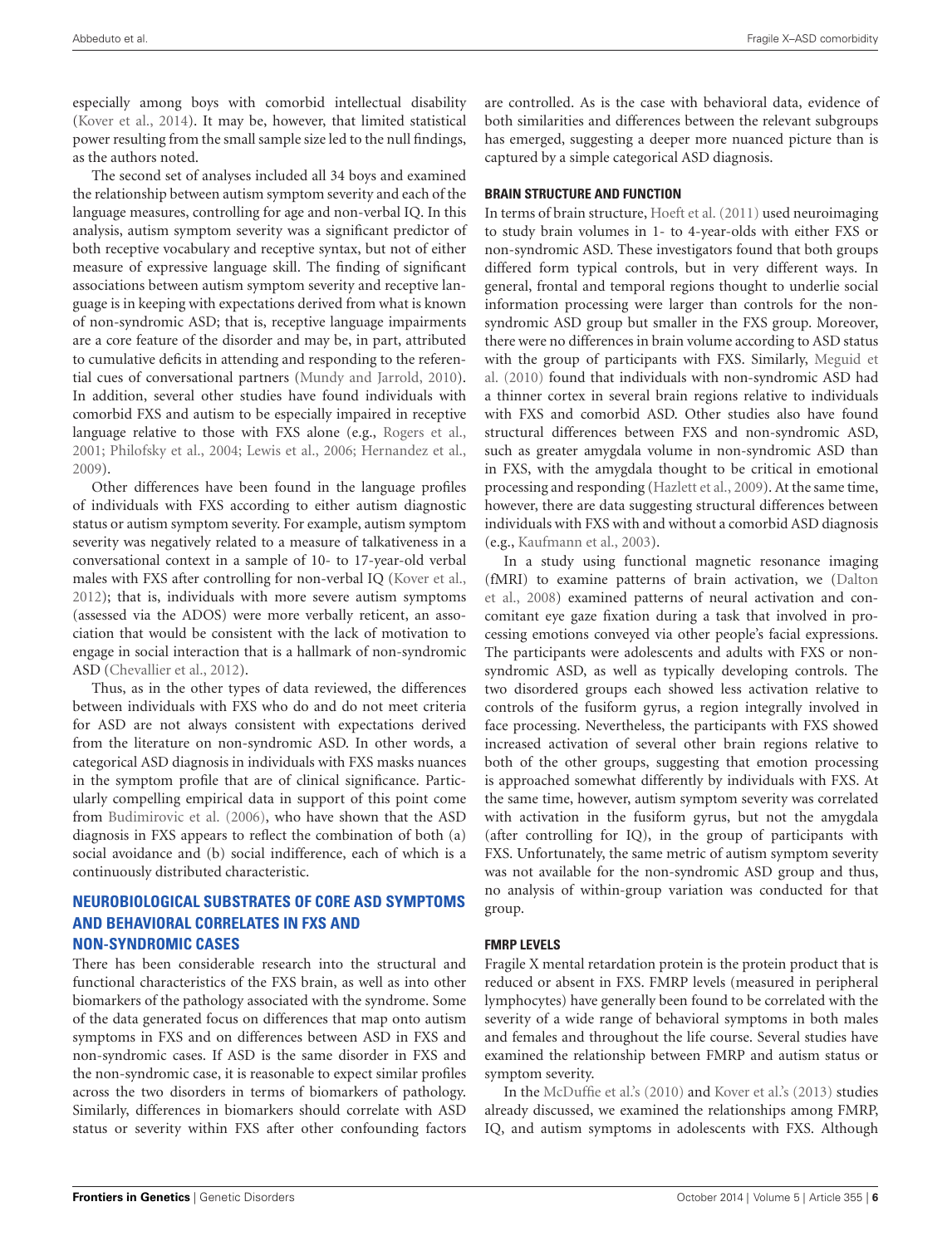especially among boys with comorbid intellectual disability [\(Kover et al.,](#page-8-29) [2014\)](#page-8-29). It may be, however, that limited statistical power resulting from the small sample size led to the null findings, as the authors noted.

The second set of analyses included all 34 boys and examined the relationship between autism symptom severity and each of the language measures, controlling for age and non-verbal IQ. In this analysis, autism symptom severity was a significant predictor of both receptive vocabulary and receptive syntax, but not of either measure of expressive language skill. The finding of significant associations between autism symptom severity and receptive language is in keeping with expectations derived from what is known of non-syndromic ASD; that is, receptive language impairments are a core feature of the disorder and may be, in part, attributed to cumulative deficits in attending and responding to the referential cues of conversational partners [\(Mundy and Jarrold,](#page-8-30) [2010\)](#page-8-30). In addition, several other studies have found individuals with comorbid FXS and autism to be especially impaired in receptive language relative to those with FXS alone (e.g., [Rogers et al.,](#page-9-0) [2001;](#page-9-0) [Philofsky et al.,](#page-8-7) [2004;](#page-8-7) [Lewis et al.,](#page-8-8) [2006;](#page-8-8) [Hernandez et al.,](#page-8-9) [2009\)](#page-8-9).

Other differences have been found in the language profiles of individuals with FXS according to either autism diagnostic status or autism symptom severity. For example, autism symptom severity was negatively related to a measure of talkativeness in a conversational context in a sample of 10- to 17-year-old verbal males with FXS after controlling for non-verbal IQ [\(Kover et al.,](#page-8-31) [2012\)](#page-8-31); that is, individuals with more severe autism symptoms (assessed via the ADOS) were more verbally reticent, an association that would be consistent with the lack of motivation to engage in social interaction that is a hallmark of non-syndromic ASD [\(Chevallier et al.,](#page-7-17) [2012\)](#page-7-17).

Thus, as in the other types of data reviewed, the differences between individuals with FXS who do and do not meet criteria for ASD are not always consistent with expectations derived from the literature on non-syndromic ASD. In other words, a categorical ASD diagnosis in individuals with FXS masks nuances in the symptom profile that are of clinical significance. Particularly compelling empirical data in support of this point come from [Budimirovic et al.](#page-7-18) [\(2006\)](#page-7-18), who have shown that the ASD diagnosis in FXS appears to reflect the combination of both (a) social avoidance and (b) social indifference, each of which is a continuously distributed characteristic.

# **NEUROBIOLOGICAL SUBSTRATES OF CORE ASD SYMPTOMS AND BEHAVIORAL CORRELATES IN FXS AND NON-SYNDROMIC CASES**

There has been considerable research into the structural and functional characteristics of the FXS brain, as well as into other biomarkers of the pathology associated with the syndrome. Some of the data generated focus on differences that map onto autism symptoms in FXS and on differences between ASD in FXS and non-syndromic cases. If ASD is the same disorder in FXS and the non-syndromic case, it is reasonable to expect similar profiles across the two disorders in terms of biomarkers of pathology. Similarly, differences in biomarkers should correlate with ASD status or severity within FXS after other confounding factors

are controlled. As is the case with behavioral data, evidence of both similarities and differences between the relevant subgroups has emerged, suggesting a deeper more nuanced picture than is captured by a simple categorical ASD diagnosis.

#### **BRAIN STRUCTURE AND FUNCTION**

In terms of brain structure, [Hoeft et al.](#page-8-32) [\(2011\)](#page-8-32) used neuroimaging to study brain volumes in 1- to 4-year-olds with either FXS or non-syndromic ASD. These investigators found that both groups differed form typical controls, but in very different ways. In general, frontal and temporal regions thought to underlie social information processing were larger than controls for the nonsyndromic ASD group but smaller in the FXS group. Moreover, there were no differences in brain volume according to ASD status with the group of participants with FXS. Similarly, [Meguid et](#page-8-33) [al.](#page-8-33) [\(2010\)](#page-8-33) found that individuals with non-syndromic ASD had a thinner cortex in several brain regions relative to individuals with FXS and comorbid ASD. Other studies also have found structural differences between FXS and non-syndromic ASD, such as greater amygdala volume in non-syndromic ASD than in FXS, with the amygdala thought to be critical in emotional processing and responding [\(Hazlett et al.,](#page-8-34) [2009\)](#page-8-34). At the same time, however, there are data suggesting structural differences between individuals with FXS with and without a comorbid ASD diagnosis (e.g., [Kaufmann et al.,](#page-8-35) [2003\)](#page-8-35).

In a study using functional magnetic resonance imaging (fMRI) to examine patterns of brain activation, we [\(Dalton](#page-7-19) [et al.,](#page-7-19) [2008\)](#page-7-19) examined patterns of neural activation and concomitant eye gaze fixation during a task that involved in processing emotions conveyed via other people's facial expressions. The participants were adolescents and adults with FXS or nonsyndromic ASD, as well as typically developing controls. The two disordered groups each showed less activation relative to controls of the fusiform gyrus, a region integrally involved in face processing. Nevertheless, the participants with FXS showed increased activation of several other brain regions relative to both of the other groups, suggesting that emotion processing is approached somewhat differently by individuals with FXS. At the same time, however, autism symptom severity was correlated with activation in the fusiform gyrus, but not the amygdala (after controlling for IQ), in the group of participants with FXS. Unfortunately, the same metric of autism symptom severity was not available for the non-syndromic ASD group and thus, no analysis of within-group variation was conducted for that group.

#### **FMRP LEVELS**

Fragile X mental retardation protein is the protein product that is reduced or absent in FXS. FMRP levels (measured in peripheral lymphocytes) have generally been found to be correlated with the severity of a wide range of behavioral symptoms in both males and females and throughout the life course. Several studies have examined the relationship between FMRP and autism status or symptom severity.

In the [McDuffie et al.'s](#page-8-10) [\(2010\)](#page-8-10) and [Kover et al.'s](#page-8-12) [\(2013\)](#page-8-12) studies already discussed, we examined the relationships among FMRP, IQ, and autism symptoms in adolescents with FXS. Although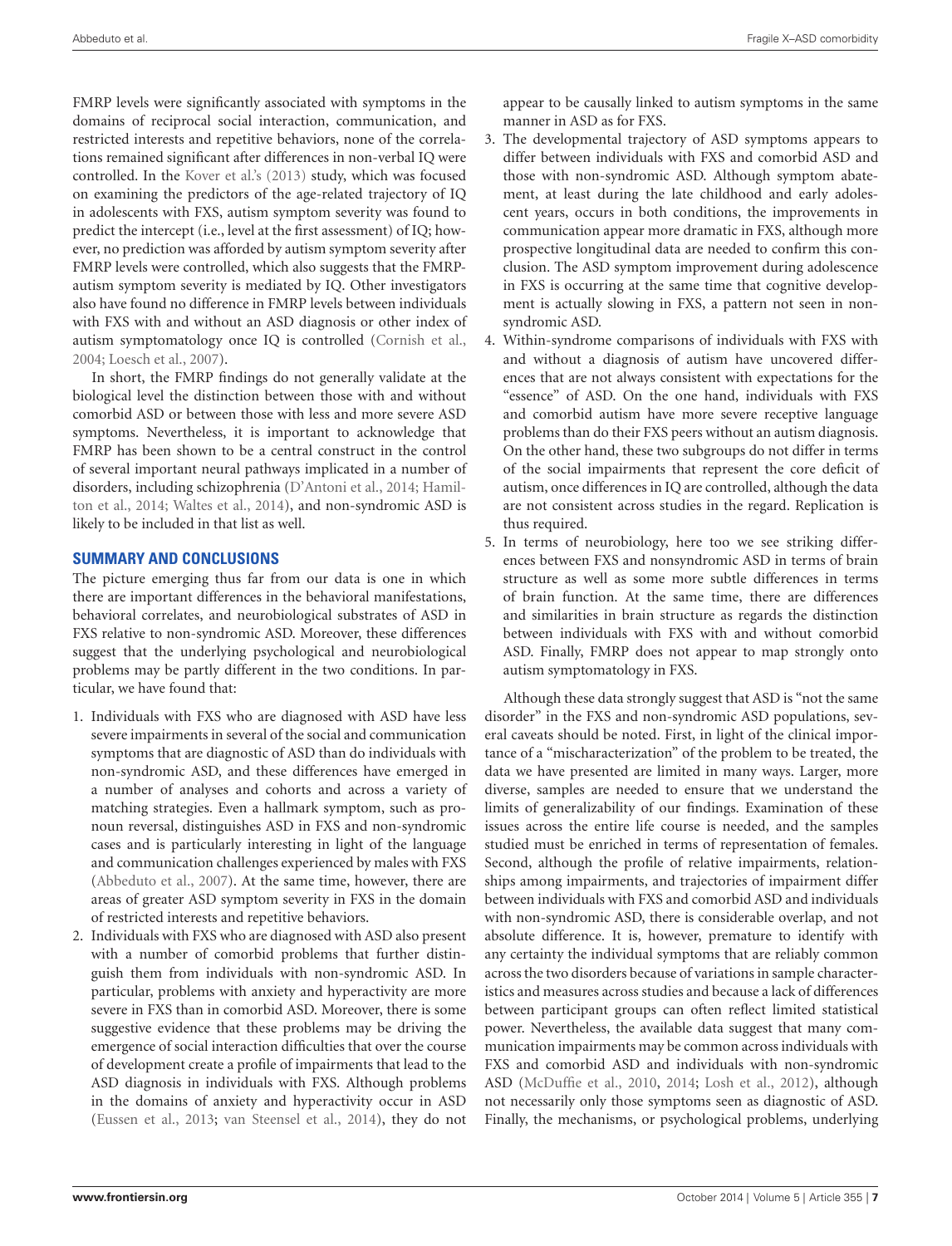FMRP levels were significantly associated with symptoms in the domains of reciprocal social interaction, communication, and restricted interests and repetitive behaviors, none of the correlations remained significant after differences in non-verbal IQ were controlled. In the [Kover et al.'s](#page-8-12) [\(2013\)](#page-8-12) study, which was focused on examining the predictors of the age-related trajectory of IQ in adolescents with FXS, autism symptom severity was found to predict the intercept (i.e., level at the first assessment) of IQ; however, no prediction was afforded by autism symptom severity after FMRP levels were controlled, which also suggests that the FMRPautism symptom severity is mediated by IQ. Other investigators also have found no difference in FMRP levels between individuals with FXS with and without an ASD diagnosis or other index of autism symptomatology once IQ is controlled [\(Cornish et al.,](#page-7-20) [2004;](#page-7-20) [Loesch et al.,](#page-8-36) [2007\)](#page-8-36).

In short, the FMRP findings do not generally validate at the biological level the distinction between those with and without comorbid ASD or between those with less and more severe ASD symptoms. Nevertheless, it is important to acknowledge that FMRP has been shown to be a central construct in the control of several important neural pathways implicated in a number of disorders, including schizophrenia [\(D'Antoni et al.,](#page-7-21) [2014;](#page-7-21) [Hamil](#page-8-37)[ton et al.,](#page-8-37) [2014;](#page-8-37) [Waltes et al.,](#page-9-12) [2014\)](#page-9-12), and non-syndromic ASD is likely to be included in that list as well.

## **SUMMARY AND CONCLUSIONS**

The picture emerging thus far from our data is one in which there are important differences in the behavioral manifestations, behavioral correlates, and neurobiological substrates of ASD in FXS relative to non-syndromic ASD. Moreover, these differences suggest that the underlying psychological and neurobiological problems may be partly different in the two conditions. In particular, we have found that:

- 1. Individuals with FXS who are diagnosed with ASD have less severe impairments in several of the social and communication symptoms that are diagnostic of ASD than do individuals with non-syndromic ASD, and these differences have emerged in a number of analyses and cohorts and across a variety of matching strategies. Even a hallmark symptom, such as pronoun reversal, distinguishes ASD in FXS and non-syndromic cases and is particularly interesting in light of the language and communication challenges experienced by males with FXS [\(Abbeduto et al.,](#page-7-22) [2007\)](#page-7-22). At the same time, however, there are areas of greater ASD symptom severity in FXS in the domain of restricted interests and repetitive behaviors.
- 2. Individuals with FXS who are diagnosed with ASD also present with a number of comorbid problems that further distinguish them from individuals with non-syndromic ASD. In particular, problems with anxiety and hyperactivity are more severe in FXS than in comorbid ASD. Moreover, there is some suggestive evidence that these problems may be driving the emergence of social interaction difficulties that over the course of development create a profile of impairments that lead to the ASD diagnosis in individuals with FXS. Although problems in the domains of anxiety and hyperactivity occur in ASD [\(Eussen et al.,](#page-8-38) [2013;](#page-8-38) [van Steensel et al.,](#page-9-13) [2014\)](#page-9-13), they do not

appear to be causally linked to autism symptoms in the same manner in ASD as for FXS.

- 3. The developmental trajectory of ASD symptoms appears to differ between individuals with FXS and comorbid ASD and those with non-syndromic ASD. Although symptom abatement, at least during the late childhood and early adolescent years, occurs in both conditions, the improvements in communication appear more dramatic in FXS, although more prospective longitudinal data are needed to confirm this conclusion. The ASD symptom improvement during adolescence in FXS is occurring at the same time that cognitive development is actually slowing in FXS, a pattern not seen in nonsyndromic ASD.
- 4. Within-syndrome comparisons of individuals with FXS with and without a diagnosis of autism have uncovered differences that are not always consistent with expectations for the "essence" of ASD. On the one hand, individuals with FXS and comorbid autism have more severe receptive language problems than do their FXS peers without an autism diagnosis. On the other hand, these two subgroups do not differ in terms of the social impairments that represent the core deficit of autism, once differences in IQ are controlled, although the data are not consistent across studies in the regard. Replication is thus required.
- 5. In terms of neurobiology, here too we see striking differences between FXS and nonsyndromic ASD in terms of brain structure as well as some more subtle differences in terms of brain function. At the same time, there are differences and similarities in brain structure as regards the distinction between individuals with FXS with and without comorbid ASD. Finally, FMRP does not appear to map strongly onto autism symptomatology in FXS.

Although these data strongly suggest that ASD is "not the same disorder" in the FXS and non-syndromic ASD populations, several caveats should be noted. First, in light of the clinical importance of a "mischaracterization" of the problem to be treated, the data we have presented are limited in many ways. Larger, more diverse, samples are needed to ensure that we understand the limits of generalizability of our findings. Examination of these issues across the entire life course is needed, and the samples studied must be enriched in terms of representation of females. Second, although the profile of relative impairments, relationships among impairments, and trajectories of impairment differ between individuals with FXS and comorbid ASD and individuals with non-syndromic ASD, there is considerable overlap, and not absolute difference. It is, however, premature to identify with any certainty the individual symptoms that are reliably common across the two disorders because of variations in sample characteristics and measures across studies and because a lack of differences between participant groups can often reflect limited statistical power. Nevertheless, the available data suggest that many communication impairments may be common across individuals with FXS and comorbid ASD and individuals with non-syndromic ASD [\(McDuffie et al.,](#page-8-10) [2010,](#page-8-10) [2014;](#page-8-15) [Losh et al.,](#page-8-14) [2012\)](#page-8-14), although not necessarily only those symptoms seen as diagnostic of ASD. Finally, the mechanisms, or psychological problems, underlying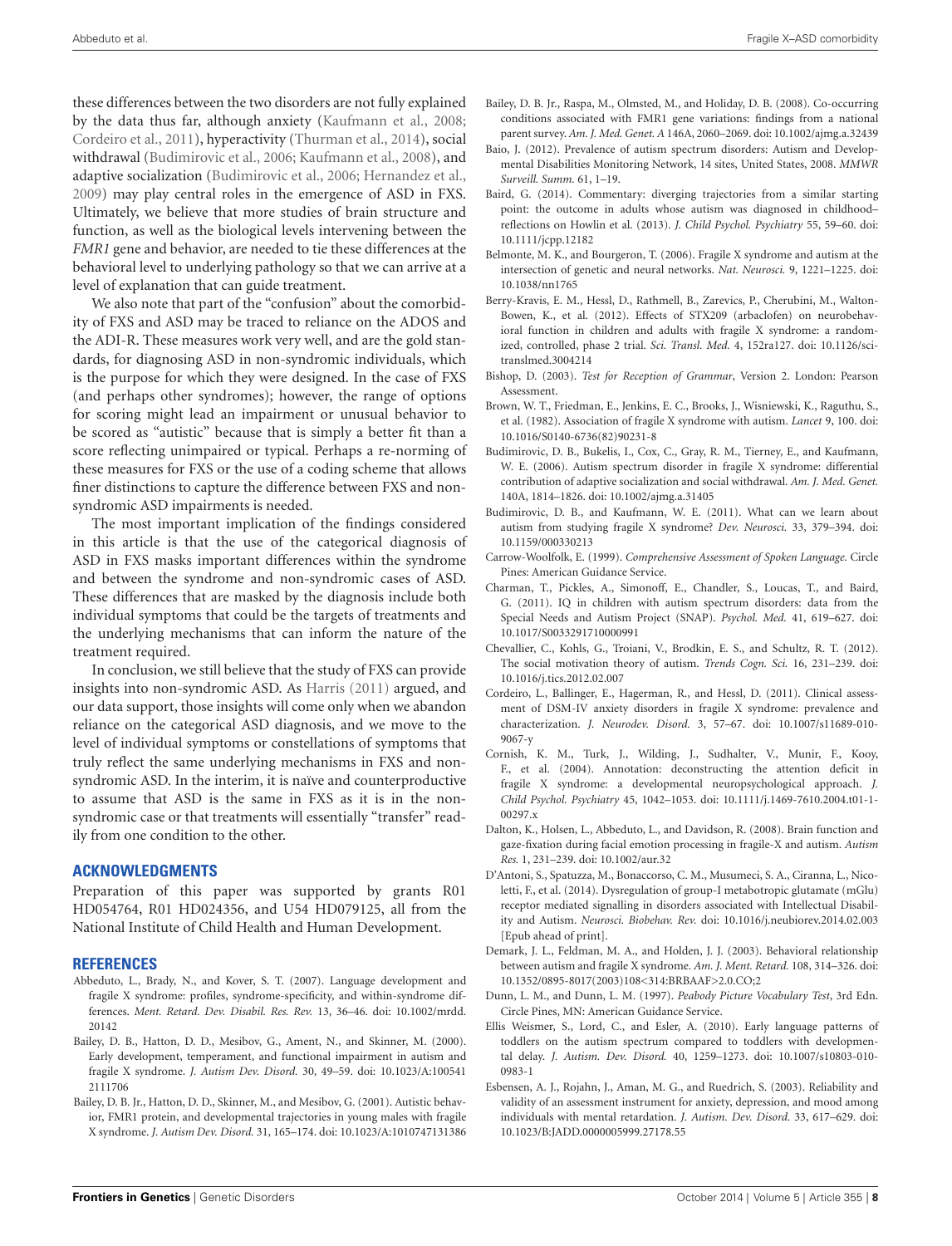these differences between the two disorders are not fully explained by the data thus far, although anxiety [\(Kaufmann et al.,](#page-8-5) [2008;](#page-8-5) [Cordeiro et al.,](#page-7-11) [2011\)](#page-7-11), hyperactivity [\(Thurman et al.,](#page-9-7) [2014\)](#page-9-7), social withdrawal [\(Budimirovic et al.,](#page-7-18) [2006;](#page-7-18) [Kaufmann et al.,](#page-8-5) [2008\)](#page-8-5), and adaptive socialization [\(Budimirovic et al.,](#page-7-18) [2006;](#page-7-18) [Hernandez et al.,](#page-8-9) [2009\)](#page-8-9) may play central roles in the emergence of ASD in FXS. Ultimately, we believe that more studies of brain structure and function, as well as the biological levels intervening between the *FMR1* gene and behavior, are needed to tie these differences at the behavioral level to underlying pathology so that we can arrive at a level of explanation that can guide treatment.

We also note that part of the "confusion" about the comorbidity of FXS and ASD may be traced to reliance on the ADOS and the ADI-R. These measures work very well, and are the gold standards, for diagnosing ASD in non-syndromic individuals, which is the purpose for which they were designed. In the case of FXS (and perhaps other syndromes); however, the range of options for scoring might lead an impairment or unusual behavior to be scored as "autistic" because that is simply a better fit than a score reflecting unimpaired or typical. Perhaps a re-norming of these measures for FXS or the use of a coding scheme that allows finer distinctions to capture the difference between FXS and nonsyndromic ASD impairments is needed.

The most important implication of the findings considered in this article is that the use of the categorical diagnosis of ASD in FXS masks important differences within the syndrome and between the syndrome and non-syndromic cases of ASD. These differences that are masked by the diagnosis include both individual symptoms that could be the targets of treatments and the underlying mechanisms that can inform the nature of the treatment required.

In conclusion, we still believe that the study of FXS can provide insights into non-syndromic ASD. As [Harris](#page-8-4) [\(2011\)](#page-8-4) argued, and our data support, those insights will come only when we abandon reliance on the categorical ASD diagnosis, and we move to the level of individual symptoms or constellations of symptoms that truly reflect the same underlying mechanisms in FXS and nonsyndromic ASD. In the interim, it is naïve and counterproductive to assume that ASD is the same in FXS as it is in the nonsyndromic case or that treatments will essentially "transfer" readily from one condition to the other.

#### **ACKNOWLEDGMENTS**

Preparation of this paper was supported by grants R01 HD054764, R01 HD024356, and U54 HD079125, all from the National Institute of Child Health and Human Development.

#### **REFERENCES**

- <span id="page-7-22"></span>Abbeduto, L., Brady, N., and Kover, S. T. (2007). Language development and fragile X syndrome: profiles, syndrome-specificity, and within-syndrome differences. *Ment. Retard. Dev. Disabil. Res. Rev.* 13, 36–46. doi: 10.1002/mrdd. 20142
- <span id="page-7-6"></span>Bailey, D. B., Hatton, D. D., Mesibov, G., Ament, N., and Skinner, M. (2000). Early development, temperament, and functional impairment in autism and fragile X syndrome. *J. Autism Dev. Disord.* 30, 49–59. doi: 10.1023/A:100541 2111706
- <span id="page-7-5"></span>Bailey, D. B. Jr., Hatton, D. D., Skinner, M., and Mesibov, G. (2001). Autistic behavior, FMR1 protein, and developmental trajectories in young males with fragile X syndrome. *J. Autism Dev. Disord.* 31, 165–174. doi: 10.1023/A:1010747131386
- <span id="page-7-9"></span>Bailey, D. B. Jr., Raspa, M., Olmsted, M., and Holiday, D. B. (2008). Co-occurring conditions associated with FMR1 gene variations: findings from a national parent survey. *Am. J. Med. Genet. A* 146A, 2060–2069. doi: 10.1002/ajmg.a.32439
- <span id="page-7-8"></span>Baio, J. (2012). Prevalence of autism spectrum disorders: Autism and Developmental Disabilities Monitoring Network, 14 sites, United States, 2008. *MMWR Surveill. Summ.* 61, 1–19.
- <span id="page-7-12"></span>Baird, G. (2014). Commentary: diverging trajectories from a similar starting point: the outcome in adults whose autism was diagnosed in childhood– reflections on Howlin et al. (2013). *J. Child Psychol. Psychiatry* 55, 59–60. doi: 10.1111/jcpp.12182
- <span id="page-7-2"></span>Belmonte, M. K., and Bourgeron, T. (2006). Fragile X syndrome and autism at the intersection of genetic and neural networks. *Nat. Neurosci.* 9, 1221–1225. doi: 10.1038/nn1765
- <span id="page-7-4"></span>Berry-Kravis, E. M., Hessl, D., Rathmell, B., Zarevics, P., Cherubini, M., Walton-Bowen, K., et al. (2012). Effects of STX209 (arbaclofen) on neurobehavioral function in children and adults with fragile X syndrome: a randomized, controlled, phase 2 trial. *Sci. Transl. Med.* 4, 152ra127. doi: 10.1126/scitranslmed.3004214
- <span id="page-7-14"></span>Bishop, D. (2003). *Test for Reception of Grammar*, Version 2. London: Pearson Assessment.
- <span id="page-7-3"></span>Brown, W. T., Friedman, E., Jenkins, E. C., Brooks, J., Wisniewski, K., Raguthu, S., et al. (1982). Association of fragile X syndrome with autism. *Lancet* 9, 100. doi: 10.1016/S0140-6736(82)90231-8
- <span id="page-7-18"></span>Budimirovic, D. B., Bukelis, I., Cox, C., Gray, R. M., Tierney, E., and Kaufmann, W. E. (2006). Autism spectrum disorder in fragile X syndrome: differential contribution of adaptive socialization and social withdrawal. *Am. J. Med. Genet.* 140A, 1814–1826. doi: 10.1002/ajmg.a.31405
- <span id="page-7-1"></span>Budimirovic, D. B., and Kaufmann, W. E. (2011). What can we learn about autism from studying fragile X syndrome? *Dev. Neurosci.* 33, 379–394. doi: 10.1159/000330213
- <span id="page-7-15"></span>Carrow-Woolfolk, E. (1999). *Comprehensive Assessment of Spoken Language.* Circle Pines: American Guidance Service.
- <span id="page-7-7"></span>Charman, T., Pickles, A., Simonoff, E., Chandler, S., Loucas, T., and Baird, G. (2011). IQ in children with autism spectrum disorders: data from the Special Needs and Autism Project (SNAP). *Psychol. Med.* 41, 619–627. doi: 10.1017/S0033291710000991
- <span id="page-7-17"></span>Chevallier, C., Kohls, G., Troiani, V., Brodkin, E. S., and Schultz, R. T. (2012). The social motivation theory of autism. *Trends Cogn. Sci.* 16, 231–239. doi: 10.1016/j.tics.2012.02.007
- <span id="page-7-11"></span>Cordeiro, L., Ballinger, E., Hagerman, R., and Hessl, D. (2011). Clinical assessment of DSM-IV anxiety disorders in fragile X syndrome: prevalence and characterization. *J. Neurodev. Disord.* 3, 57–67. doi: 10.1007/s11689-010- 9067-y
- <span id="page-7-20"></span>Cornish, K. M., Turk, J., Wilding, J., Sudhalter, V., Munir, F., Kooy, F., et al. (2004). Annotation: deconstructing the attention deficit in fragile X syndrome: a developmental neuropsychological approach. *J. Child Psychol. Psychiatry* 45, 1042–1053. doi: 10.1111/j.1469-7610.2004.t01-1- 00297.x
- <span id="page-7-19"></span>Dalton, K., Holsen, L., Abbeduto, L., and Davidson, R. (2008). Brain function and gaze-fixation during facial emotion processing in fragile-X and autism. *Autism Res.* 1, 231–239. doi: 10.1002/aur.32
- <span id="page-7-21"></span>D'Antoni, S., Spatuzza, M., Bonaccorso, C. M., Musumeci, S. A., Ciranna, L., Nicoletti, F., et al. (2014). Dysregulation of group-I metabotropic glutamate (mGlu) receptor mediated signalling in disorders associated with Intellectual Disability and Autism. *Neurosci. Biobehav. Rev.* doi: 10.1016/j.neubiorev.2014.02.003 [Epub ahead of print].
- <span id="page-7-0"></span>Demark, J. L., Feldman, M. A., and Holden, J. J. (2003). Behavioral relationship between autism and fragile X syndrome. *Am. J. Ment. Retard.* 108, 314–326. doi: 10.1352/0895-8017(2003)108<314:BRBAAF>2.0.CO;2
- <span id="page-7-13"></span>Dunn, L. M., and Dunn, L. M. (1997). *Peabody Picture Vocabulary Test*, 3rd Edn. Circle Pines, MN: American Guidance Service.
- <span id="page-7-16"></span>Ellis Weismer, S., Lord, C., and Esler, A. (2010). Early language patterns of toddlers on the autism spectrum compared to toddlers with developmental delay. *J. Autism. Dev. Disord.* 40, 1259–1273. doi: 10.1007/s10803-010- 0983-1
- <span id="page-7-10"></span>Esbensen, A. J., Rojahn, J., Aman, M. G., and Ruedrich, S. (2003). Reliability and validity of an assessment instrument for anxiety, depression, and mood among individuals with mental retardation. *J. Autism. Dev. Disord.* 33, 617–629. doi: 10.1023/B:JADD.0000005999.27178.55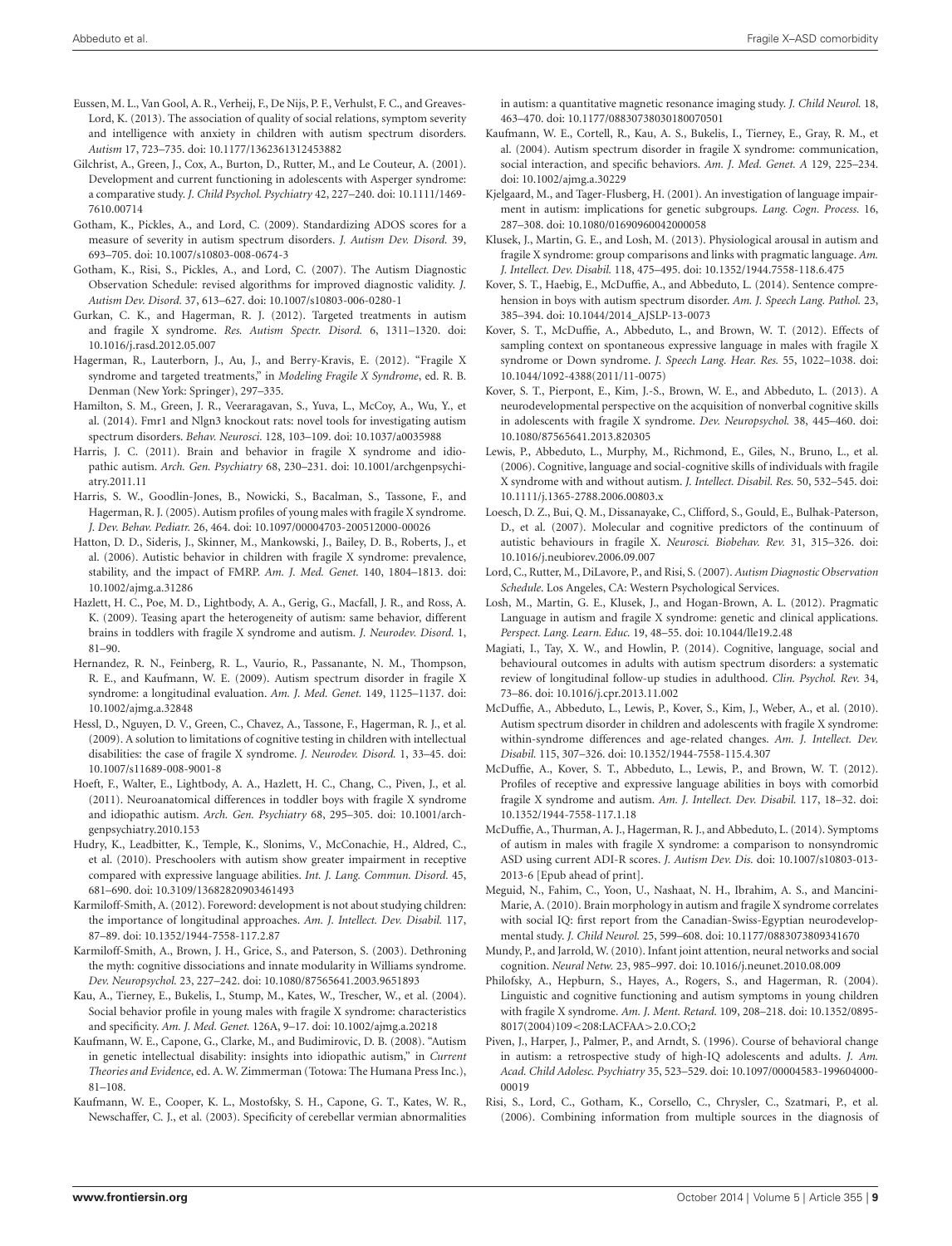- <span id="page-8-38"></span>Eussen, M. L., Van Gool, A. R., Verheij, F., De Nijs, P. F., Verhulst, F. C., and Greaves-Lord, K. (2013). The association of quality of social relations, symptom severity and intelligence with anxiety in children with autism spectrum disorders. *Autism* 17, 723–735. doi: 10.1177/1362361312453882
- <span id="page-8-23"></span>Gilchrist, A., Green, J., Cox, A., Burton, D., Rutter, M., and Le Couteur, A. (2001). Development and current functioning in adolescents with Asperger syndrome: a comparative study. *J. Child Psychol. Psychiatry* 42, 227–240. doi: 10.1111/1469- 7610.00714
- <span id="page-8-18"></span>Gotham, K., Pickles, A., and Lord, C. (2009). Standardizing ADOS scores for a measure of severity in autism spectrum disorders. *J. Autism Dev. Disord.* 39, 693–705. doi: 10.1007/s10803-008-0674-3
- <span id="page-8-26"></span>Gotham, K., Risi, S., Pickles, A., and Lord, C. (2007). The Autism Diagnostic Observation Schedule: revised algorithms for improved diagnostic validity. *J. Autism Dev. Disord.* 37, 613–627. doi: 10.1007/s10803-006-0280-1
- <span id="page-8-2"></span>Gurkan, C. K., and Hagerman, R. J. (2012). Targeted treatments in autism and fragile X syndrome. *Res. Autism Spectr. Disord.* 6, 1311–1320. doi: 10.1016/j.rasd.2012.05.007
- <span id="page-8-3"></span>Hagerman, R., Lauterborn, J., Au, J., and Berry-Kravis, E. (2012). "Fragile X syndrome and targeted treatments," in *Modeling Fragile X Syndrome*, ed. R. B. Denman (New York: Springer), 297–335.
- <span id="page-8-37"></span>Hamilton, S. M., Green, J. R., Veeraragavan, S., Yuva, L., McCoy, A., Wu, Y., et al. (2014). Fmr1 and Nlgn3 knockout rats: novel tools for investigating autism spectrum disorders. *Behav. Neurosci.* 128, 103–109. doi: 10.1037/a0035988
- <span id="page-8-4"></span>Harris, J. C. (2011). Brain and behavior in fragile X syndrome and idiopathic autism. *Arch. Gen. Psychiatry* 68, 230–231. doi: 10.1001/archgenpsychiatry.2011.11
- <span id="page-8-1"></span>Harris, S. W., Goodlin-Jones, B., Nowicki, S., Bacalman, S., Tassone, F., and Hagerman, R. J. (2005). Autism profiles of young males with fragile X syndrome. *J. Dev. Behav. Pediatr.* 26, 464. doi: 10.1097/00004703-200512000-00026
- <span id="page-8-11"></span>Hatton, D. D., Sideris, J., Skinner, M., Mankowski, J., Bailey, D. B., Roberts, J., et al. (2006). Autistic behavior in children with fragile X syndrome: prevalence, stability, and the impact of FMRP. *Am. J. Med. Genet.* 140, 1804–1813. doi: 10.1002/ajmg.a.31286
- <span id="page-8-34"></span>Hazlett, H. C., Poe, M. D., Lightbody, A. A., Gerig, G., Macfall, J. R., and Ross, A. K. (2009). Teasing apart the heterogeneity of autism: same behavior, different brains in toddlers with fragile X syndrome and autism. *J. Neurodev. Disord.* 1, 81–90.
- <span id="page-8-9"></span>Hernandez, R. N., Feinberg, R. L., Vaurio, R., Passanante, N. M., Thompson, R. E., and Kaufmann, W. E. (2009). Autism spectrum disorder in fragile X syndrome: a longitudinal evaluation. *Am. J. Med. Genet.* 149, 1125–1137. doi: 10.1002/ajmg.a.32848
- <span id="page-8-13"></span>Hessl, D., Nguyen, D. V., Green, C., Chavez, A., Tassone, F., Hagerman, R. J., et al. (2009). A solution to limitations of cognitive testing in children with intellectual disabilities: the case of fragile X syndrome. *J. Neurodev. Disord.* 1, 33–45. doi: 10.1007/s11689-008-9001-8
- <span id="page-8-32"></span>Hoeft, F., Walter, E., Lightbody, A. A., Hazlett, H. C., Chang, C., Piven, J., et al. (2011). Neuroanatomical differences in toddler boys with fragile X syndrome and idiopathic autism. *Arch. Gen. Psychiatry* 68, 295–305. doi: 10.1001/archgenpsychiatry.2010.153
- <span id="page-8-28"></span>Hudry, K., Leadbitter, K., Temple, K., Slonims, V., McConachie, H., Aldred, C., et al. (2010). Preschoolers with autism show greater impairment in receptive compared with expressive language abilities. *Int. J. Lang. Commun. Disord.* 45, 681–690. doi: 10.3109/13682820903461493
- <span id="page-8-20"></span>Karmiloff-Smith, A. (2012). Foreword: development is not about studying children: the importance of longitudinal approaches. *Am. J. Intellect. Dev. Disabil.* 117, 87–89. doi: 10.1352/1944-7558-117.2.87
- <span id="page-8-21"></span>Karmiloff-Smith, A., Brown, J. H., Grice, S., and Paterson, S. (2003). Dethroning the myth: cognitive dissociations and innate modularity in Williams syndrome. *Dev. Neuropsychol.* 23, 227–242. doi: 10.1080/87565641.2003.9651893
- <span id="page-8-6"></span>Kau, A., Tierney, E., Bukelis, I., Stump, M., Kates, W., Trescher, W., et al. (2004). Social behavior profile in young males with fragile X syndrome: characteristics and specificity. *Am. J. Med. Genet.* 126A, 9–17. doi: 10.1002/ajmg.a.20218
- <span id="page-8-5"></span>Kaufmann, W. E., Capone, G., Clarke, M., and Budimirovic, D. B. (2008). "Autism in genetic intellectual disability: insights into idiopathic autism," in *Current Theories and Evidence*, ed. A. W. Zimmerman (Totowa: The Humana Press Inc.), 81–108.
- <span id="page-8-35"></span>Kaufmann, W. E., Cooper, K. L., Mostofsky, S. H., Capone, G. T., Kates, W. R., Newschaffer, C. J., et al. (2003). Specificity of cerebellar vermian abnormalities

in autism: a quantitative magnetic resonance imaging study. *J. Child Neurol.* 18, 463–470. doi: 10.1177/08830738030180070501

- <span id="page-8-0"></span>Kaufmann, W. E., Cortell, R., Kau, A. S., Bukelis, I., Tierney, E., Gray, R. M., et al. (2004). Autism spectrum disorder in fragile X syndrome: communication, social interaction, and specific behaviors. *Am. J. Med. Genet. A* 129, 225–234. doi: 10.1002/ajmg.a.30229
- <span id="page-8-27"></span>Kjelgaard, M., and Tager-Flusberg, H. (2001). An investigation of language impairment in autism: implications for genetic subgroups. *Lang. Cogn. Process.* 16, 287–308. doi: 10.1080/01690960042000058
- <span id="page-8-19"></span>Klusek, J., Martin, G. E., and Losh, M. (2013). Physiological arousal in autism and fragile X syndrome: group comparisons and links with pragmatic language. *Am. J. Intellect. Dev. Disabil.* 118, 475–495. doi: 10.1352/1944.7558-118.6.475
- <span id="page-8-29"></span>Kover, S. T., Haebig, E., McDuffie, A., and Abbeduto, L. (2014). Sentence comprehension in boys with autism spectrum disorder. *Am. J. Speech Lang. Pathol.* 23, 385–394. doi: 10.1044/2014\_AJSLP-13-0073
- <span id="page-8-31"></span>Kover, S. T., McDuffie, A., Abbeduto, L., and Brown, W. T. (2012). Effects of sampling context on spontaneous expressive language in males with fragile X syndrome or Down syndrome. *J. Speech Lang. Hear. Res.* 55, 1022–1038. doi: 10.1044/1092-4388(2011/11-0075)
- <span id="page-8-12"></span>Kover, S. T., Pierpont, E., Kim, J.-S., Brown, W. E., and Abbeduto, L. (2013). A neurodevelopmental perspective on the acquisition of nonverbal cognitive skills in adolescents with fragile X syndrome. *Dev. Neuropsychol.* 38, 445–460. doi: 10.1080/87565641.2013.820305
- <span id="page-8-8"></span>Lewis, P., Abbeduto, L., Murphy, M., Richmond, E., Giles, N., Bruno, L., et al. (2006). Cognitive, language and social-cognitive skills of individuals with fragile X syndrome with and without autism. *J. Intellect. Disabil. Res.* 50, 532–545. doi: 10.1111/j.1365-2788.2006.00803.x
- <span id="page-8-36"></span>Loesch, D. Z., Bui, Q. M., Dissanayake, C., Clifford, S., Gould, E., Bulhak-Paterson, D., et al. (2007). Molecular and cognitive predictors of the continuum of autistic behaviours in fragile X. *Neurosci. Biobehav. Rev.* 31, 315–326. doi: 10.1016/j.neubiorev.2006.09.007
- <span id="page-8-16"></span>Lord, C., Rutter, M., DiLavore, P., and Risi, S. (2007). *Autism Diagnostic Observation Schedule*. Los Angeles, CA: Western Psychological Services.
- <span id="page-8-14"></span>Losh, M., Martin, G. E., Klusek, J., and Hogan-Brown, A. L. (2012). Pragmatic Language in autism and fragile X syndrome: genetic and clinical applications. *Perspect. Lang. Learn. Educ.* 19, 48–55. doi: 10.1044/lle19.2.48
- <span id="page-8-24"></span>Magiati, I., Tay, X. W., and Howlin, P. (2014). Cognitive, language, social and behavioural outcomes in adults with autism spectrum disorders: a systematic review of longitudinal follow-up studies in adulthood. *Clin. Psychol. Rev.* 34, 73–86. doi: 10.1016/j.cpr.2013.11.002
- <span id="page-8-10"></span>McDuffie, A., Abbeduto, L., Lewis, P., Kover, S., Kim, J., Weber, A., et al. (2010). Autism spectrum disorder in children and adolescents with fragile X syndrome: within-syndrome differences and age-related changes. *Am. J. Intellect. Dev. Disabil.* 115, 307–326. doi: 10.1352/1944-7558-115.4.307
- <span id="page-8-25"></span>McDuffie, A., Kover, S. T., Abbeduto, L., Lewis, P., and Brown, W. T. (2012). Profiles of receptive and expressive language abilities in boys with comorbid fragile X syndrome and autism. *Am. J. Intellect. Dev. Disabil.* 117, 18–32. doi: 10.1352/1944-7558-117.1.18
- <span id="page-8-15"></span>McDuffie, A., Thurman, A. J., Hagerman, R. J., and Abbeduto, L. (2014). Symptoms of autism in males with fragile X syndrome: a comparison to nonsyndromic ASD using current ADI-R scores. *J. Autism Dev. Dis.* doi: 10.1007/s10803-013- 2013-6 [Epub ahead of print].
- <span id="page-8-33"></span>Meguid, N., Fahim, C., Yoon, U., Nashaat, N. H., Ibrahim, A. S., and Mancini-Marie, A. (2010). Brain morphology in autism and fragile X syndrome correlates with social IQ: first report from the Canadian-Swiss-Egyptian neurodevelopmental study. *J. Child Neurol.* 25, 599–608. doi: 10.1177/0883073809341670
- <span id="page-8-30"></span>Mundy, P., and Jarrold, W. (2010). Infant joint attention, neural networks and social cognition. *Neural Netw.* 23, 985–997. doi: 10.1016/j.neunet.2010.08.009
- <span id="page-8-7"></span>Philofsky, A., Hepburn, S., Hayes, A., Rogers, S., and Hagerman, R. (2004). Linguistic and cognitive functioning and autism symptoms in young children with fragile X syndrome. *Am. J. Ment. Retard.* 109, 208–218. doi: 10.1352/0895- 8017(2004)109<208:LACFAA>2.0.CO;2
- <span id="page-8-22"></span>Piven, J., Harper, J., Palmer, P., and Arndt, S. (1996). Course of behavioral change in autism: a retrospective study of high-IQ adolescents and adults. *J. Am. Acad. Child Adolesc. Psychiatry* 35, 523–529. doi: 10.1097/00004583-199604000- 00019
- <span id="page-8-17"></span>Risi, S., Lord, C., Gotham, K., Corsello, C., Chrysler, C., Szatmari, P., et al. (2006). Combining information from multiple sources in the diagnosis of